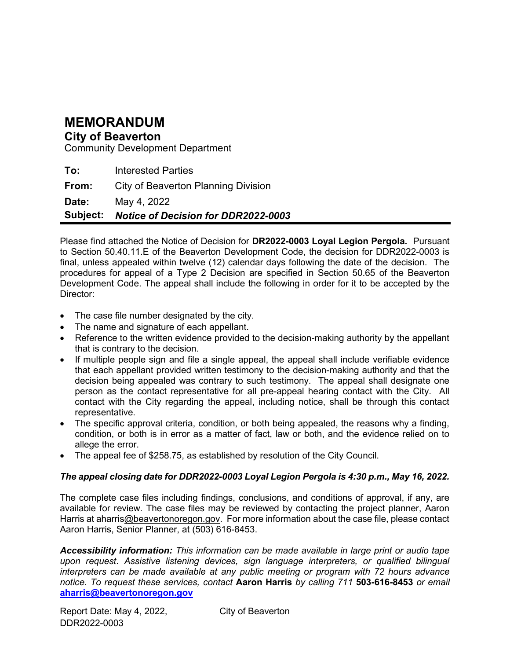## MEMORANDUM

#### City of Beaverton

Community Development Department

To: Interested Parties

From: City of Beaverton Planning Division

Date: May 4, 2022

Subject: Notice of Decision for DDR2022-0003

Please find attached the Notice of Decision for DR2022-0003 Loyal Legion Pergola. Pursuant to Section 50.40.11.E of the Beaverton Development Code, the decision for DDR2022-0003 is final, unless appealed within twelve (12) calendar days following the date of the decision. The procedures for appeal of a Type 2 Decision are specified in Section 50.65 of the Beaverton Development Code. The appeal shall include the following in order for it to be accepted by the Director:

- The case file number designated by the city.
- The name and signature of each appellant.
- Reference to the written evidence provided to the decision-making authority by the appellant that is contrary to the decision.
- If multiple people sign and file a single appeal, the appeal shall include verifiable evidence that each appellant provided written testimony to the decision-making authority and that the decision being appealed was contrary to such testimony. The appeal shall designate one person as the contact representative for all pre-appeal hearing contact with the City. All contact with the City regarding the appeal, including notice, shall be through this contact representative.
- The specific approval criteria, condition, or both being appealed, the reasons why a finding, condition, or both is in error as a matter of fact, law or both, and the evidence relied on to allege the error.
- The appeal fee of \$258.75, as established by resolution of the City Council.

#### The appeal closing date for DDR2022-0003 Loyal Legion Pergola is 4:30 p.m., May 16, 2022.

The complete case files including findings, conclusions, and conditions of approval, if any, are available for review. The case files may be reviewed by contacting the project planner, Aaron Harris at aharris@beavertonoregon.gov. For more information about the case file, please contact Aaron Harris, Senior Planner, at (503) 616-8453.

Accessibility information: This information can be made available in large print or audio tape upon request. Assistive listening devices, sign language interpreters, or qualified bilingual interpreters can be made available at any public meeting or program with 72 hours advance notice. To request these services, contact Aaron Harris by calling 711 503-616-8453 or email aharris@beavertonoregon.gov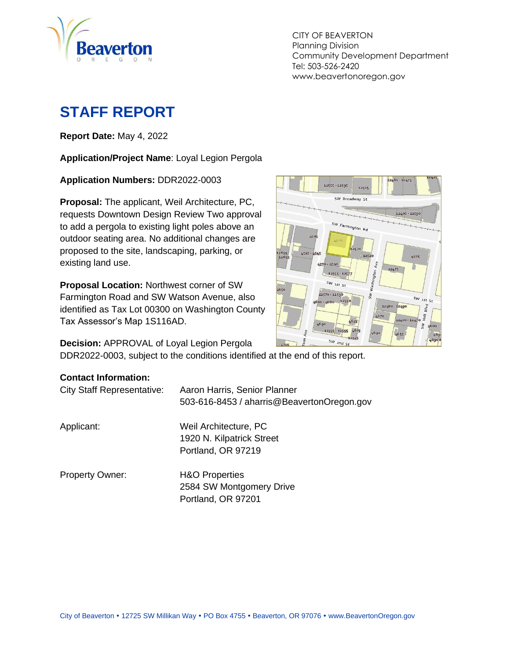

CITY OF BEAVERTON Planning Division Community Development Department Tel: 503-526-2420 www.beavertonoregon.gov

# **STAFF REPORT**

**Report Date:** May 4, 2022

**Application/Project Name**: Loyal Legion Pergola

**Application Numbers:** DDR2022-0003

**Proposal:** The applicant, Weil Architecture, PC, requests Downtown Design Review Two approval to add a pergola to existing light poles above an outdoor seating area. No additional changes are proposed to the site, landscaping, parking, or existing land use.

**Proposal Location:** Northwest corner of SW Farmington Road and SW Watson Avenue, also identified as Tax Lot 00300 on Washington County Tax Assessor's Map 1S116AD.

**Decision:** APPROVAL of Loyal Legion Pergola

DDR2022-0003, subject to the conditions identified at the end of this report.

#### **Contact Information:**

| <b>City Staff Representative:</b> | Aaron Harris, Senior Planner<br>503-616-8453 / aharris@BeavertonOregon.gov  |
|-----------------------------------|-----------------------------------------------------------------------------|
| Applicant:                        | Weil Architecture, PC<br>1920 N. Kilpatrick Street<br>Portland, OR 97219    |
| <b>Property Owner:</b>            | <b>H&amp;O Properties</b><br>2584 SW Montgomery Drive<br>Portland, OR 97201 |

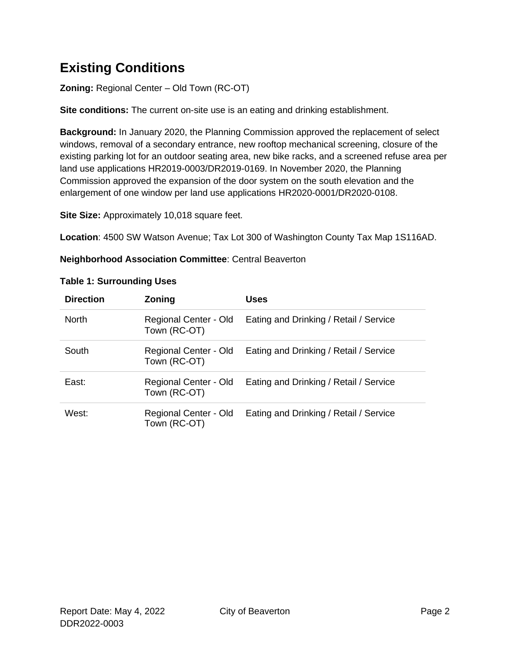## **Existing Conditions**

**Zoning:** Regional Center – Old Town (RC-OT)

**Site conditions:** The current on-site use is an eating and drinking establishment.

**Background:** In January 2020, the Planning Commission approved the replacement of select windows, removal of a secondary entrance, new rooftop mechanical screening, closure of the existing parking lot for an outdoor seating area, new bike racks, and a screened refuse area per land use applications HR2019-0003/DR2019-0169. In November 2020, the Planning Commission approved the expansion of the door system on the south elevation and the enlargement of one window per land use applications HR2020-0001/DR2020-0108.

**Site Size:** Approximately 10,018 square feet.

**Location**: 4500 SW Watson Avenue; Tax Lot 300 of Washington County Tax Map 1S116AD.

**Neighborhood Association Committee**: Central Beaverton

| <b>Direction</b> | Zoning                                | Uses                                   |
|------------------|---------------------------------------|----------------------------------------|
| <b>North</b>     | Regional Center - Old<br>Town (RC-OT) | Eating and Drinking / Retail / Service |
| South            | Regional Center - Old<br>Town (RC-OT) | Eating and Drinking / Retail / Service |
| East:            | Regional Center - Old<br>Town (RC-OT) | Eating and Drinking / Retail / Service |
| West:            | Regional Center - Old<br>Town (RC-OT) | Eating and Drinking / Retail / Service |

#### **Table 1: Surrounding Uses**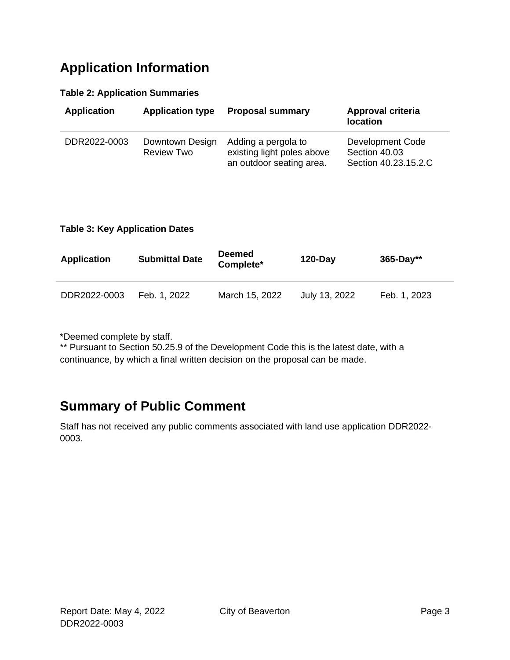## **Application Information**

#### **Table 2: Application Summaries**

| <b>Application</b> | <b>Application type</b>              | <b>Proposal summary</b>                                                       | Approval criteria<br><b>location</b>                      |
|--------------------|--------------------------------------|-------------------------------------------------------------------------------|-----------------------------------------------------------|
| DDR2022-0003       | Downtown Design<br><b>Review Two</b> | Adding a pergola to<br>existing light poles above<br>an outdoor seating area. | Development Code<br>Section 40.03<br>Section 40.23.15.2.C |

#### **Table 3: Key Application Dates**

| <b>Application</b> | <b>Submittal Date</b> | <b>Deemed</b><br>Complete* | $120 - Day$   | $365 - Day**$ |
|--------------------|-----------------------|----------------------------|---------------|---------------|
| DDR2022-0003       | Feb. 1, 2022          | March 15, 2022             | July 13, 2022 | Feb. 1, 2023  |

\*Deemed complete by staff.

\*\* Pursuant to Section 50.25.9 of the Development Code this is the latest date, with a continuance, by which a final written decision on the proposal can be made.

## **Summary of Public Comment**

Staff has not received any public comments associated with land use application DDR2022- 0003.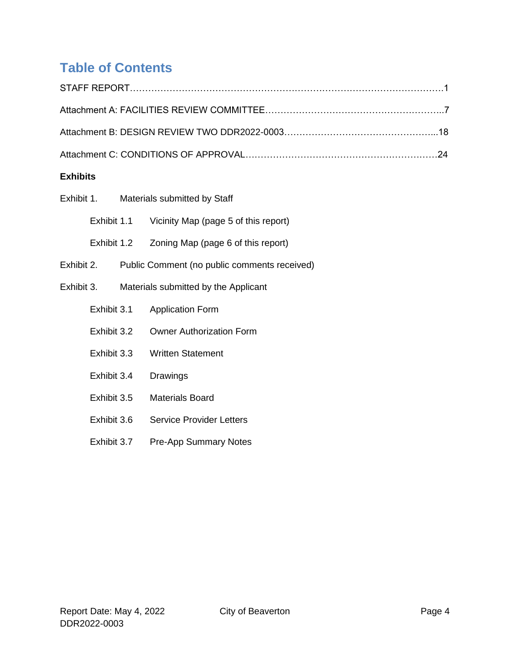# **Table of Contents**

| <b>Exhibits</b> |             |                                              |
|-----------------|-------------|----------------------------------------------|
| Exhibit 1.      |             | Materials submitted by Staff                 |
|                 | Exhibit 1.1 | Vicinity Map (page 5 of this report)         |
|                 | Exhibit 1.2 | Zoning Map (page 6 of this report)           |
| Exhibit 2.      |             | Public Comment (no public comments received) |
| Exhibit 3.      |             | Materials submitted by the Applicant         |
|                 | Exhibit 3.1 | <b>Application Form</b>                      |
|                 | Exhibit 3.2 | <b>Owner Authorization Form</b>              |
|                 | Exhibit 3.3 | <b>Written Statement</b>                     |
|                 | Exhibit 3.4 | Drawings                                     |
|                 | Exhibit 3.5 | <b>Materials Board</b>                       |
|                 | Exhibit 3.6 | <b>Service Provider Letters</b>              |
|                 | Exhibit 3.7 | <b>Pre-App Summary Notes</b>                 |
|                 |             |                                              |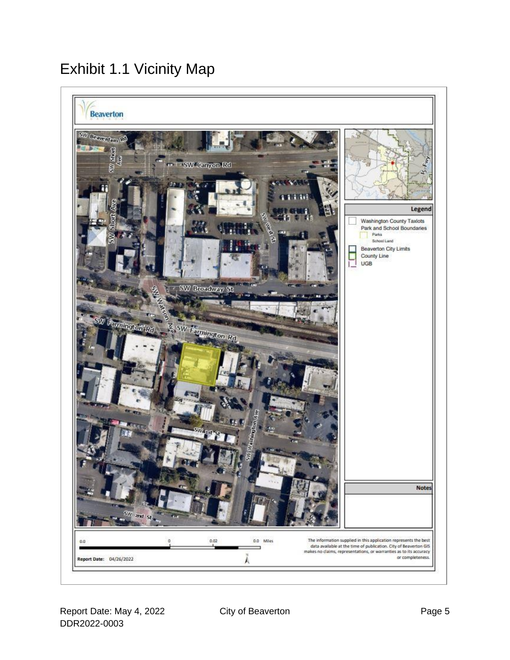# Exhibit 1.1 Vicinity Map

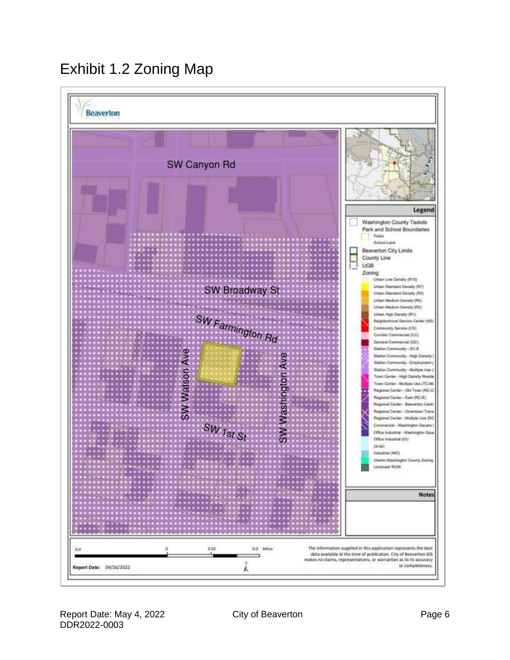# Exhibit 1.2 Zoning Map**Beaverton**

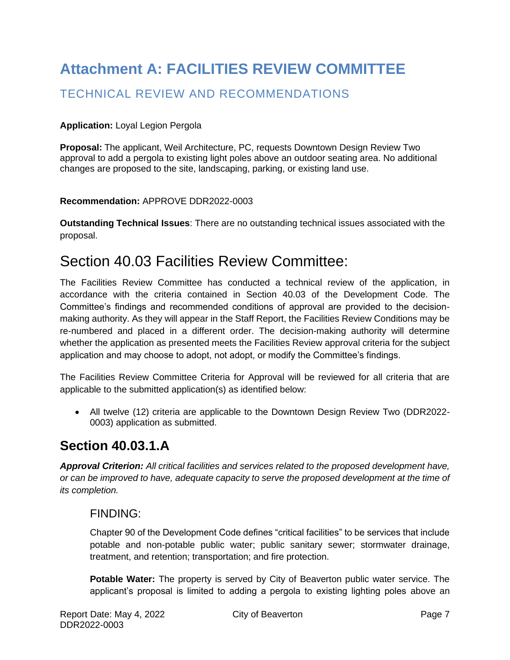# **Attachment A: FACILITIES REVIEW COMMITTEE**

### TECHNICAL REVIEW AND RECOMMENDATIONS

#### **Application:** Loyal Legion Pergola

**Proposal:** The applicant, Weil Architecture, PC, requests Downtown Design Review Two approval to add a pergola to existing light poles above an outdoor seating area. No additional changes are proposed to the site, landscaping, parking, or existing land use.

#### **Recommendation:** APPROVE DDR2022-0003

**Outstanding Technical Issues**: There are no outstanding technical issues associated with the proposal.

## Section 40.03 Facilities Review Committee:

The Facilities Review Committee has conducted a technical review of the application, in accordance with the criteria contained in Section 40.03 of the Development Code. The Committee's findings and recommended conditions of approval are provided to the decisionmaking authority. As they will appear in the Staff Report, the Facilities Review Conditions may be re-numbered and placed in a different order. The decision-making authority will determine whether the application as presented meets the Facilities Review approval criteria for the subject application and may choose to adopt, not adopt, or modify the Committee's findings.

The Facilities Review Committee Criteria for Approval will be reviewed for all criteria that are applicable to the submitted application(s) as identified below:

• All twelve (12) criteria are applicable to the Downtown Design Review Two (DDR2022- 0003) application as submitted.

## **Section 40.03.1.A**

*Approval Criterion: All critical facilities and services related to the proposed development have, or can be improved to have, adequate capacity to serve the proposed development at the time of its completion.*

#### FINDING:

Chapter 90 of the Development Code defines "critical facilities" to be services that include potable and non-potable public water; public sanitary sewer; stormwater drainage, treatment, and retention; transportation; and fire protection.

**Potable Water:** The property is served by City of Beaverton public water service. The applicant's proposal is limited to adding a pergola to existing lighting poles above an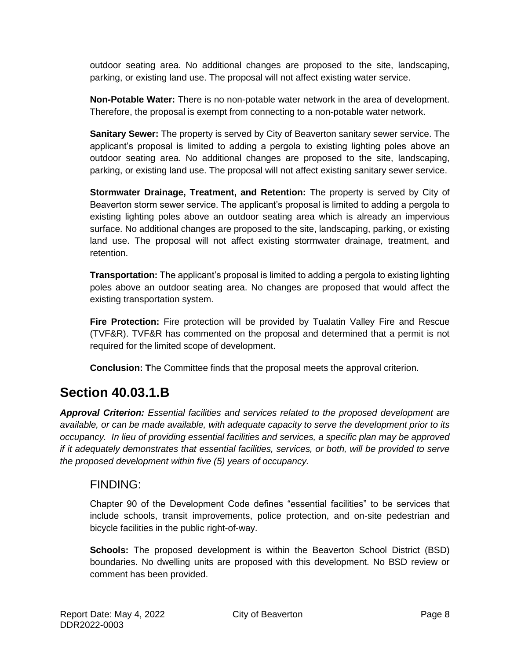outdoor seating area. No additional changes are proposed to the site, landscaping, parking, or existing land use. The proposal will not affect existing water service.

**Non-Potable Water:** There is no non-potable water network in the area of development. Therefore, the proposal is exempt from connecting to a non-potable water network.

**Sanitary Sewer:** The property is served by City of Beaverton sanitary sewer service. The applicant's proposal is limited to adding a pergola to existing lighting poles above an outdoor seating area. No additional changes are proposed to the site, landscaping, parking, or existing land use. The proposal will not affect existing sanitary sewer service.

**Stormwater Drainage, Treatment, and Retention:** The property is served by City of Beaverton storm sewer service. The applicant's proposal is limited to adding a pergola to existing lighting poles above an outdoor seating area which is already an impervious surface. No additional changes are proposed to the site, landscaping, parking, or existing land use. The proposal will not affect existing stormwater drainage, treatment, and retention.

**Transportation:** The applicant's proposal is limited to adding a pergola to existing lighting poles above an outdoor seating area. No changes are proposed that would affect the existing transportation system.

**Fire Protection:** Fire protection will be provided by Tualatin Valley Fire and Rescue (TVF&R). TVF&R has commented on the proposal and determined that a permit is not required for the limited scope of development.

**Conclusion: T**he Committee finds that the proposal meets the approval criterion.

## **Section 40.03.1.B**

*Approval Criterion: Essential facilities and services related to the proposed development are available, or can be made available, with adequate capacity to serve the development prior to its occupancy. In lieu of providing essential facilities and services, a specific plan may be approved if it adequately demonstrates that essential facilities, services, or both, will be provided to serve the proposed development within five (5) years of occupancy.*

#### FINDING:

Chapter 90 of the Development Code defines "essential facilities" to be services that include schools, transit improvements, police protection, and on-site pedestrian and bicycle facilities in the public right-of-way.

**Schools:** The proposed development is within the Beaverton School District (BSD) boundaries. No dwelling units are proposed with this development. No BSD review or comment has been provided.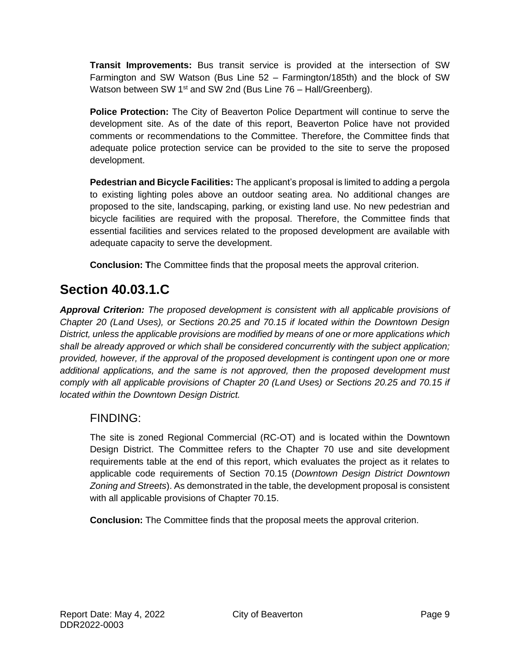**Transit Improvements:** Bus transit service is provided at the intersection of SW Farmington and SW Watson (Bus Line 52 – Farmington/185th) and the block of SW Watson between SW 1<sup>st</sup> and SW 2nd (Bus Line  $76$  – Hall/Greenberg).

**Police Protection:** The City of Beaverton Police Department will continue to serve the development site. As of the date of this report, Beaverton Police have not provided comments or recommendations to the Committee. Therefore, the Committee finds that adequate police protection service can be provided to the site to serve the proposed development.

**Pedestrian and Bicycle Facilities:** The applicant's proposal is limited to adding a pergola to existing lighting poles above an outdoor seating area. No additional changes are proposed to the site, landscaping, parking, or existing land use. No new pedestrian and bicycle facilities are required with the proposal. Therefore, the Committee finds that essential facilities and services related to the proposed development are available with adequate capacity to serve the development.

**Conclusion: T**he Committee finds that the proposal meets the approval criterion.

## **Section 40.03.1.C**

*Approval Criterion: The proposed development is consistent with all applicable provisions of Chapter 20 (Land Uses), or Sections 20.25 and 70.15 if located within the Downtown Design District, unless the applicable provisions are modified by means of one or more applications which shall be already approved or which shall be considered concurrently with the subject application; provided, however, if the approval of the proposed development is contingent upon one or more additional applications, and the same is not approved, then the proposed development must comply with all applicable provisions of Chapter 20 (Land Uses) or Sections 20.25 and 70.15 if located within the Downtown Design District.*

#### FINDING:

The site is zoned Regional Commercial (RC-OT) and is located within the Downtown Design District. The Committee refers to the Chapter 70 use and site development requirements table at the end of this report, which evaluates the project as it relates to applicable code requirements of Section 70.15 (*Downtown Design District Downtown Zoning and Streets*). As demonstrated in the table, the development proposal is consistent with all applicable provisions of Chapter 70.15.

**Conclusion:** The Committee finds that the proposal meets the approval criterion.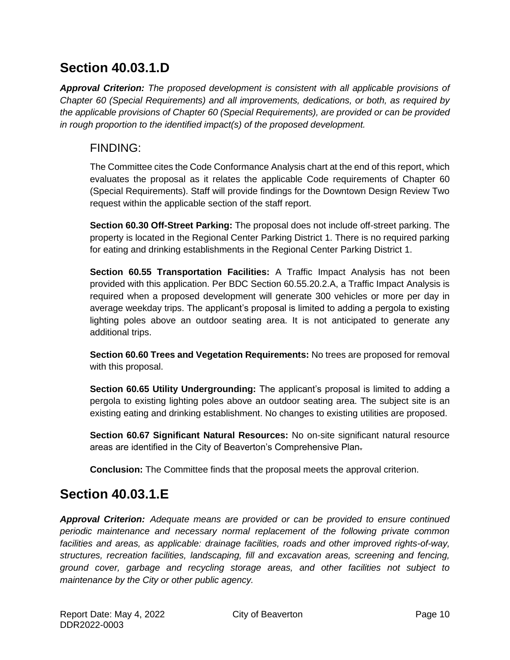## **Section 40.03.1.D**

*Approval Criterion: The proposed development is consistent with all applicable provisions of Chapter 60 (Special Requirements) and all improvements, dedications, or both, as required by the applicable provisions of Chapter 60 (Special Requirements), are provided or can be provided in rough proportion to the identified impact(s) of the proposed development.*

#### FINDING:

The Committee cites the Code Conformance Analysis chart at the end of this report, which evaluates the proposal as it relates the applicable Code requirements of Chapter 60 (Special Requirements). Staff will provide findings for the Downtown Design Review Two request within the applicable section of the staff report.

**Section 60.30 Off-Street Parking:** The proposal does not include off-street parking. The property is located in the Regional Center Parking District 1. There is no required parking for eating and drinking establishments in the Regional Center Parking District 1.

**Section 60.55 Transportation Facilities:** A Traffic Impact Analysis has not been provided with this application. Per BDC Section 60.55.20.2.A, a Traffic Impact Analysis is required when a proposed development will generate 300 vehicles or more per day in average weekday trips. The applicant's proposal is limited to adding a pergola to existing lighting poles above an outdoor seating area. It is not anticipated to generate any additional trips.

**Section 60.60 Trees and Vegetation Requirements:** No trees are proposed for removal with this proposal.

**Section 60.65 Utility Undergrounding:** The applicant's proposal is limited to adding a pergola to existing lighting poles above an outdoor seating area. The subject site is an existing eating and drinking establishment. No changes to existing utilities are proposed.

**Section 60.67 Significant Natural Resources:** No on-site significant natural resource areas are identified in the City of Beaverton's Comprehensive Plan.

**Conclusion:** The Committee finds that the proposal meets the approval criterion.

## **Section 40.03.1.E**

*Approval Criterion: Adequate means are provided or can be provided to ensure continued periodic maintenance and necessary normal replacement of the following private common facilities and areas, as applicable: drainage facilities, roads and other improved rights-of-way, structures, recreation facilities, landscaping, fill and excavation areas, screening and fencing, ground cover, garbage and recycling storage areas, and other facilities not subject to maintenance by the City or other public agency.*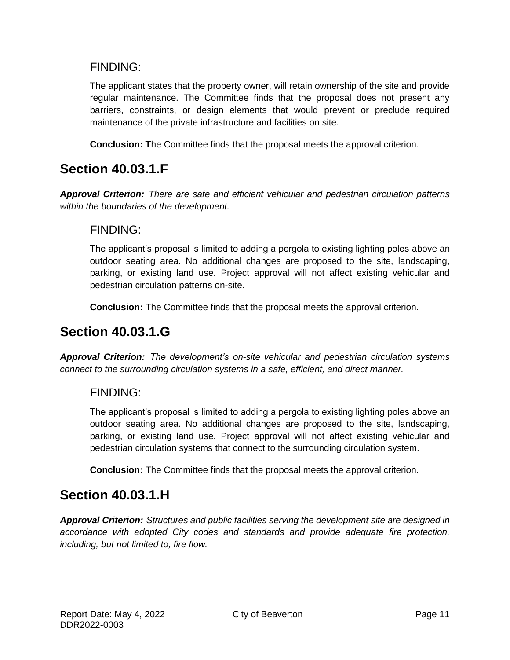#### FINDING:

The applicant states that the property owner, will retain ownership of the site and provide regular maintenance. The Committee finds that the proposal does not present any barriers, constraints, or design elements that would prevent or preclude required maintenance of the private infrastructure and facilities on site.

**Conclusion: T**he Committee finds that the proposal meets the approval criterion.

## **Section 40.03.1.F**

*Approval Criterion: There are safe and efficient vehicular and pedestrian circulation patterns within the boundaries of the development.*

#### FINDING:

The applicant's proposal is limited to adding a pergola to existing lighting poles above an outdoor seating area. No additional changes are proposed to the site, landscaping, parking, or existing land use. Project approval will not affect existing vehicular and pedestrian circulation patterns on-site.

**Conclusion:** The Committee finds that the proposal meets the approval criterion.

## **Section 40.03.1.G**

*Approval Criterion: The development's on-site vehicular and pedestrian circulation systems connect to the surrounding circulation systems in a safe, efficient, and direct manner.*

#### FINDING:

The applicant's proposal is limited to adding a pergola to existing lighting poles above an outdoor seating area. No additional changes are proposed to the site, landscaping, parking, or existing land use. Project approval will not affect existing vehicular and pedestrian circulation systems that connect to the surrounding circulation system.

**Conclusion:** The Committee finds that the proposal meets the approval criterion.

## **Section 40.03.1.H**

*Approval Criterion: Structures and public facilities serving the development site are designed in accordance with adopted City codes and standards and provide adequate fire protection, including, but not limited to, fire flow.*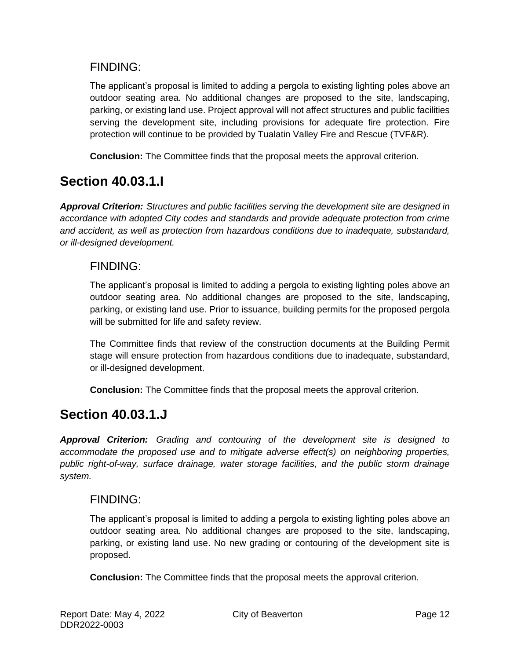#### FINDING:

The applicant's proposal is limited to adding a pergola to existing lighting poles above an outdoor seating area. No additional changes are proposed to the site, landscaping, parking, or existing land use. Project approval will not affect structures and public facilities serving the development site, including provisions for adequate fire protection. Fire protection will continue to be provided by Tualatin Valley Fire and Rescue (TVF&R).

**Conclusion:** The Committee finds that the proposal meets the approval criterion.

## **Section 40.03.1.I**

*Approval Criterion: Structures and public facilities serving the development site are designed in accordance with adopted City codes and standards and provide adequate protection from crime and accident, as well as protection from hazardous conditions due to inadequate, substandard, or ill-designed development.*

#### FINDING:

The applicant's proposal is limited to adding a pergola to existing lighting poles above an outdoor seating area. No additional changes are proposed to the site, landscaping, parking, or existing land use. Prior to issuance, building permits for the proposed pergola will be submitted for life and safety review.

The Committee finds that review of the construction documents at the Building Permit stage will ensure protection from hazardous conditions due to inadequate, substandard, or ill-designed development.

**Conclusion:** The Committee finds that the proposal meets the approval criterion.

## **Section 40.03.1.J**

*Approval Criterion: Grading and contouring of the development site is designed to accommodate the proposed use and to mitigate adverse effect(s) on neighboring properties, public right-of-way, surface drainage, water storage facilities, and the public storm drainage system.*

#### FINDING:

The applicant's proposal is limited to adding a pergola to existing lighting poles above an outdoor seating area. No additional changes are proposed to the site, landscaping, parking, or existing land use. No new grading or contouring of the development site is proposed.

**Conclusion:** The Committee finds that the proposal meets the approval criterion.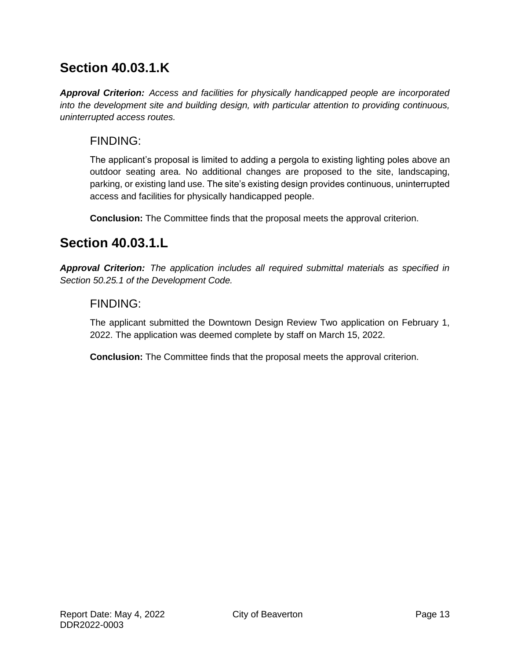## **Section 40.03.1.K**

*Approval Criterion: Access and facilities for physically handicapped people are incorporated into the development site and building design, with particular attention to providing continuous, uninterrupted access routes.*

#### FINDING:

The applicant's proposal is limited to adding a pergola to existing lighting poles above an outdoor seating area. No additional changes are proposed to the site, landscaping, parking, or existing land use. The site's existing design provides continuous, uninterrupted access and facilities for physically handicapped people.

**Conclusion:** The Committee finds that the proposal meets the approval criterion.

## **Section 40.03.1.L**

*Approval Criterion: The application includes all required submittal materials as specified in Section 50.25.1 of the Development Code.*

#### FINDING:

The applicant submitted the Downtown Design Review Two application on February 1, 2022. The application was deemed complete by staff on March 15, 2022.

**Conclusion:** The Committee finds that the proposal meets the approval criterion.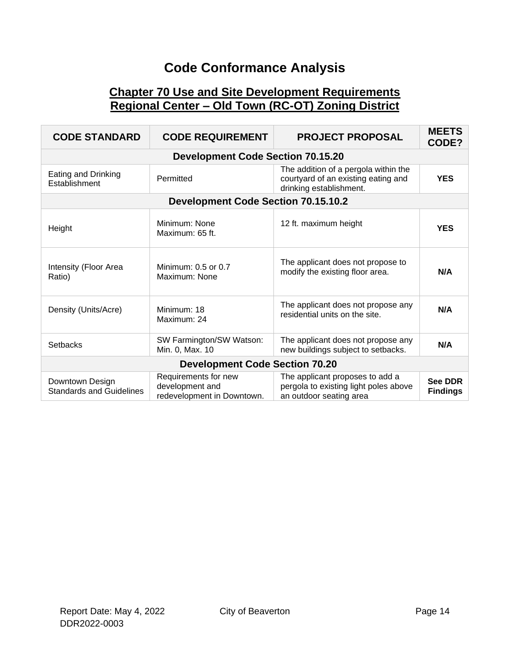## **Code Conformance Analysis**

#### **Chapter 70 Use and Site Development Requirements Regional Center – Old Town (RC-OT) Zoning District**

| <b>CODE STANDARD</b>                               | <b>CODE REQUIREMENT</b>                                               | <b>PROJECT PROPOSAL</b>                                                                                | <b>MEETS</b><br>CODE?             |
|----------------------------------------------------|-----------------------------------------------------------------------|--------------------------------------------------------------------------------------------------------|-----------------------------------|
|                                                    | <b>Development Code Section 70.15.20</b>                              |                                                                                                        |                                   |
| Eating and Drinking<br>Establishment               | Permitted                                                             | The addition of a pergola within the<br>courtyard of an existing eating and<br>drinking establishment. | <b>YES</b>                        |
|                                                    | <b>Development Code Section 70.15.10.2</b>                            |                                                                                                        |                                   |
| Height                                             | Minimum: None<br>Maximum: 65 ft.                                      | 12 ft. maximum height                                                                                  | <b>YES</b>                        |
| Intensity (Floor Area<br>Ratio)                    | Minimum: 0.5 or 0.7<br>Maximum: None                                  | The applicant does not propose to<br>modify the existing floor area.                                   | N/A                               |
| Density (Units/Acre)                               | Minimum: 18<br>Maximum: 24                                            | The applicant does not propose any<br>residential units on the site.                                   | N/A                               |
| <b>Setbacks</b>                                    | SW Farmington/SW Watson:<br>Min. 0, Max. 10                           | The applicant does not propose any<br>new buildings subject to setbacks.                               | N/A                               |
| <b>Development Code Section 70.20</b>              |                                                                       |                                                                                                        |                                   |
| Downtown Design<br><b>Standards and Guidelines</b> | Requirements for new<br>development and<br>redevelopment in Downtown. | The applicant proposes to add a<br>pergola to existing light poles above<br>an outdoor seating area    | <b>See DDR</b><br><b>Findings</b> |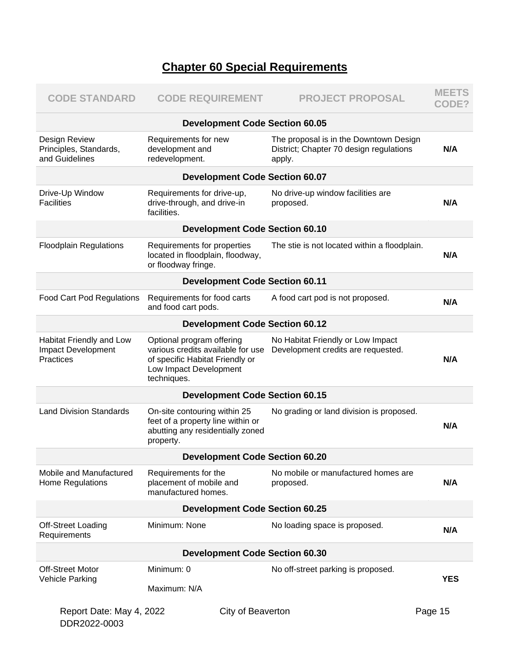## **Chapter 60 Special Requirements**

| <b>CODE STANDARD</b>                                        | <b>CODE REQUIREMENT</b>                                                                                                                    | <b>PROJECT PROPOSAL</b>                                                                     | <b>MEETS</b><br>CODE? |
|-------------------------------------------------------------|--------------------------------------------------------------------------------------------------------------------------------------------|---------------------------------------------------------------------------------------------|-----------------------|
|                                                             | <b>Development Code Section 60.05</b>                                                                                                      |                                                                                             |                       |
| Design Review<br>Principles, Standards,<br>and Guidelines   | Requirements for new<br>development and<br>redevelopment.                                                                                  | The proposal is in the Downtown Design<br>District; Chapter 70 design regulations<br>apply. | N/A                   |
|                                                             | <b>Development Code Section 60.07</b>                                                                                                      |                                                                                             |                       |
| Drive-Up Window<br><b>Facilities</b>                        | Requirements for drive-up,<br>drive-through, and drive-in<br>facilities.                                                                   | No drive-up window facilities are<br>proposed.                                              | N/A                   |
|                                                             | <b>Development Code Section 60.10</b>                                                                                                      |                                                                                             |                       |
| <b>Floodplain Regulations</b>                               | Requirements for properties<br>located in floodplain, floodway,<br>or floodway fringe.                                                     | The stie is not located within a floodplain.                                                | N/A                   |
|                                                             | <b>Development Code Section 60.11</b>                                                                                                      |                                                                                             |                       |
| <b>Food Cart Pod Regulations</b>                            | Requirements for food carts<br>and food cart pods.                                                                                         | A food cart pod is not proposed.                                                            | N/A                   |
|                                                             | <b>Development Code Section 60.12</b>                                                                                                      |                                                                                             |                       |
| Habitat Friendly and Low<br>Impact Development<br>Practices | Optional program offering<br>various credits available for use<br>of specific Habitat Friendly or<br>Low Impact Development<br>techniques. | No Habitat Friendly or Low Impact<br>Development credits are requested.                     | N/A                   |
|                                                             | <b>Development Code Section 60.15</b>                                                                                                      |                                                                                             |                       |
| <b>Land Division Standards</b>                              | On-site contouring within 25<br>feet of a property line within or<br>abutting any residentially zoned<br>property.                         | No grading or land division is proposed.                                                    | N/A                   |
|                                                             | <b>Development Code Section 60.20</b>                                                                                                      |                                                                                             |                       |
| Mobile and Manufactured<br>Home Regulations                 | Requirements for the<br>placement of mobile and<br>manufactured homes.                                                                     | No mobile or manufactured homes are<br>proposed.                                            | N/A                   |
|                                                             | <b>Development Code Section 60.25</b>                                                                                                      |                                                                                             |                       |
| <b>Off-Street Loading</b><br>Requirements                   | Minimum: None                                                                                                                              | No loading space is proposed.                                                               | N/A                   |
|                                                             | <b>Development Code Section 60.30</b>                                                                                                      |                                                                                             |                       |
| <b>Off-Street Motor</b>                                     | Minimum: 0                                                                                                                                 | No off-street parking is proposed.                                                          | <b>YES</b>            |
| <b>Vehicle Parking</b>                                      | Maximum: N/A                                                                                                                               |                                                                                             |                       |
| Report Date: May 4, 2022                                    | City of Beaverton                                                                                                                          |                                                                                             | Page 15               |

DDR2022-0003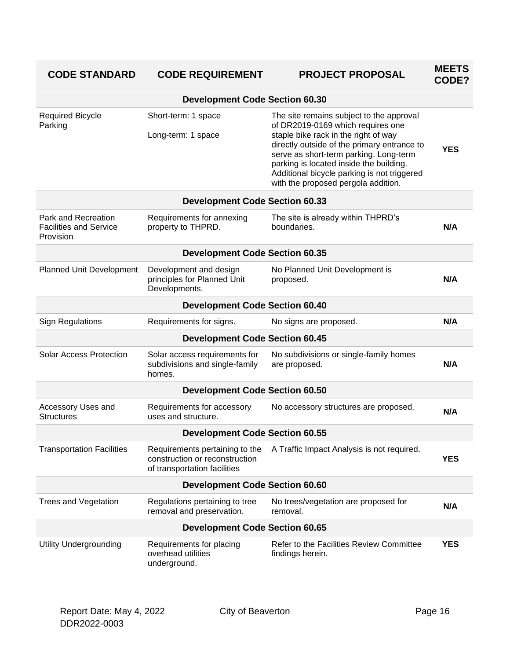| <b>CODE STANDARD</b>                                              | <b>CODE REQUIREMENT</b>                                                                          | <b>PROJECT PROPOSAL</b>                                                                                                                                                                                                                                                                                                                         | <b>MEETS</b><br>CODE? |
|-------------------------------------------------------------------|--------------------------------------------------------------------------------------------------|-------------------------------------------------------------------------------------------------------------------------------------------------------------------------------------------------------------------------------------------------------------------------------------------------------------------------------------------------|-----------------------|
|                                                                   | <b>Development Code Section 60.30</b>                                                            |                                                                                                                                                                                                                                                                                                                                                 |                       |
| <b>Required Bicycle</b><br>Parking                                | Short-term: 1 space<br>Long-term: 1 space                                                        | The site remains subject to the approval<br>of DR2019-0169 which requires one<br>staple bike rack in the right of way<br>directly outside of the primary entrance to<br>serve as short-term parking. Long-term<br>parking is located inside the building.<br>Additional bicycle parking is not triggered<br>with the proposed pergola addition. | <b>YES</b>            |
|                                                                   | <b>Development Code Section 60.33</b>                                                            |                                                                                                                                                                                                                                                                                                                                                 |                       |
| Park and Recreation<br><b>Facilities and Service</b><br>Provision | Requirements for annexing<br>property to THPRD.                                                  | The site is already within THPRD's<br>boundaries.                                                                                                                                                                                                                                                                                               | N/A                   |
|                                                                   | <b>Development Code Section 60.35</b>                                                            |                                                                                                                                                                                                                                                                                                                                                 |                       |
| Planned Unit Development                                          | Development and design<br>principles for Planned Unit<br>Developments.                           | No Planned Unit Development is<br>proposed.                                                                                                                                                                                                                                                                                                     | N/A                   |
|                                                                   | <b>Development Code Section 60.40</b>                                                            |                                                                                                                                                                                                                                                                                                                                                 |                       |
| <b>Sign Regulations</b>                                           | Requirements for signs.                                                                          | No signs are proposed.                                                                                                                                                                                                                                                                                                                          | N/A                   |
|                                                                   | <b>Development Code Section 60.45</b>                                                            |                                                                                                                                                                                                                                                                                                                                                 |                       |
| <b>Solar Access Protection</b>                                    | Solar access requirements for<br>subdivisions and single-family<br>homes.                        | No subdivisions or single-family homes<br>are proposed.                                                                                                                                                                                                                                                                                         | N/A                   |
|                                                                   | <b>Development Code Section 60.50</b>                                                            |                                                                                                                                                                                                                                                                                                                                                 |                       |
| Accessory Uses and<br><b>Structures</b>                           | Requirements for accessory<br>uses and structure.                                                | No accessory structures are proposed.                                                                                                                                                                                                                                                                                                           | N/A                   |
|                                                                   | <b>Development Code Section 60.55</b>                                                            |                                                                                                                                                                                                                                                                                                                                                 |                       |
| <b>Transportation Facilities</b>                                  | Requirements pertaining to the<br>construction or reconstruction<br>of transportation facilities | A Traffic Impact Analysis is not required.                                                                                                                                                                                                                                                                                                      | <b>YES</b>            |
|                                                                   | <b>Development Code Section 60.60</b>                                                            |                                                                                                                                                                                                                                                                                                                                                 |                       |
| <b>Trees and Vegetation</b>                                       | Regulations pertaining to tree<br>removal and preservation.                                      | No trees/vegetation are proposed for<br>removal.                                                                                                                                                                                                                                                                                                | N/A                   |
|                                                                   | <b>Development Code Section 60.65</b>                                                            |                                                                                                                                                                                                                                                                                                                                                 |                       |
| <b>Utility Undergrounding</b>                                     | Requirements for placing<br>overhead utilities<br>underground.                                   | Refer to the Facilities Review Committee<br>findings herein.                                                                                                                                                                                                                                                                                    | <b>YES</b>            |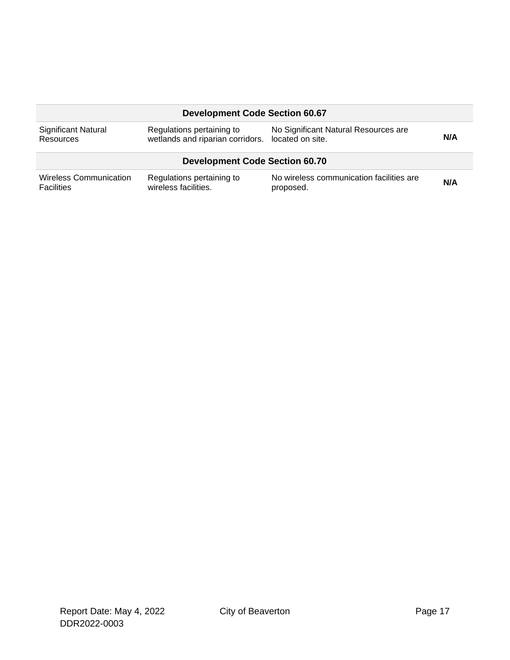|                                         | <b>Development Code Section 60.67</b>                                          |                                      |     |
|-----------------------------------------|--------------------------------------------------------------------------------|--------------------------------------|-----|
| <b>Significant Natural</b><br>Resources | Regulations pertaining to<br>wetlands and riparian corridors. located on site. | No Significant Natural Resources are | N/A |
|                                         |                                                                                |                                      |     |
|                                         | <b>Development Code Section 60.70</b>                                          |                                      |     |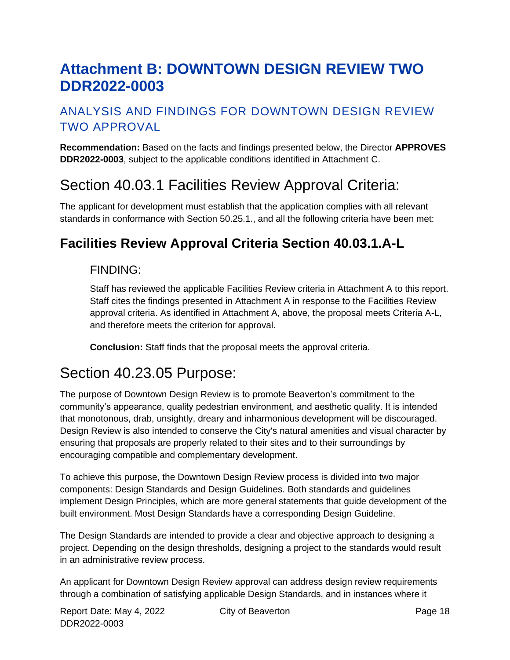# **Attachment B: DOWNTOWN DESIGN REVIEW TWO DDR2022-0003**

## ANALYSIS AND FINDINGS FOR DOWNTOWN DESIGN REVIEW TWO APPROVAL

**Recommendation:** Based on the facts and findings presented below, the Director **APPROVES DDR2022-0003**, subject to the applicable conditions identified in Attachment C.

# Section 40.03.1 Facilities Review Approval Criteria:

The applicant for development must establish that the application complies with all relevant standards in conformance with Section 50.25.1., and all the following criteria have been met:

## **Facilities Review Approval Criteria Section 40.03.1.A-L**

#### FINDING:

Staff has reviewed the applicable Facilities Review criteria in Attachment A to this report. Staff cites the findings presented in Attachment A in response to the Facilities Review approval criteria. As identified in Attachment A, above, the proposal meets Criteria A-L, and therefore meets the criterion for approval.

**Conclusion:** Staff finds that the proposal meets the approval criteria.

## Section 40.23.05 Purpose:

The purpose of Downtown Design Review is to promote Beaverton's commitment to the community's appearance, quality pedestrian environment, and aesthetic quality. It is intended that monotonous, drab, unsightly, dreary and inharmonious development will be discouraged. Design Review is also intended to conserve the City's natural amenities and visual character by ensuring that proposals are properly related to their sites and to their surroundings by encouraging compatible and complementary development.

To achieve this purpose, the Downtown Design Review process is divided into two major components: Design Standards and Design Guidelines. Both standards and guidelines implement Design Principles, which are more general statements that guide development of the built environment. Most Design Standards have a corresponding Design Guideline.

The Design Standards are intended to provide a clear and objective approach to designing a project. Depending on the design thresholds, designing a project to the standards would result in an administrative review process.

An applicant for Downtown Design Review approval can address design review requirements through a combination of satisfying applicable Design Standards, and in instances where it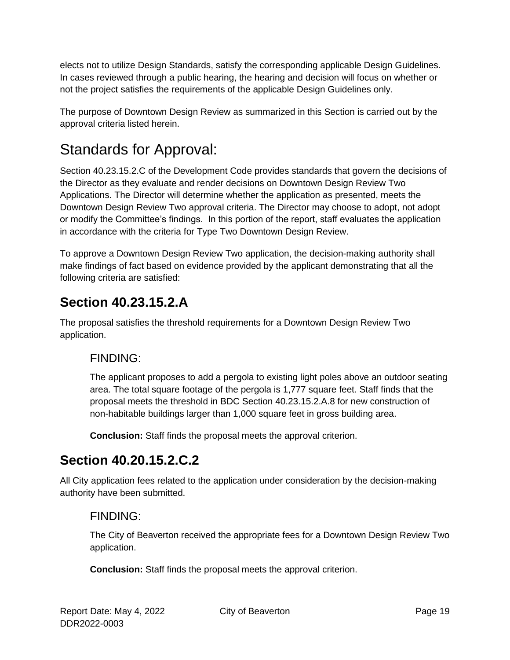elects not to utilize Design Standards, satisfy the corresponding applicable Design Guidelines. In cases reviewed through a public hearing, the hearing and decision will focus on whether or not the project satisfies the requirements of the applicable Design Guidelines only.

The purpose of Downtown Design Review as summarized in this Section is carried out by the approval criteria listed herein.

# Standards for Approval:

Section 40.23.15.2.C of the Development Code provides standards that govern the decisions of the Director as they evaluate and render decisions on Downtown Design Review Two Applications. The Director will determine whether the application as presented, meets the Downtown Design Review Two approval criteria. The Director may choose to adopt, not adopt or modify the Committee's findings. In this portion of the report, staff evaluates the application in accordance with the criteria for Type Two Downtown Design Review.

To approve a Downtown Design Review Two application, the decision-making authority shall make findings of fact based on evidence provided by the applicant demonstrating that all the following criteria are satisfied:

## **Section 40.23.15.2.A**

The proposal satisfies the threshold requirements for a Downtown Design Review Two application.

#### FINDING:

The applicant proposes to add a pergola to existing light poles above an outdoor seating area. The total square footage of the pergola is 1,777 square feet. Staff finds that the proposal meets the threshold in BDC Section 40.23.15.2.A.8 for new construction of non-habitable buildings larger than 1,000 square feet in gross building area.

**Conclusion:** Staff finds the proposal meets the approval criterion.

# **Section 40.20.15.2.C.2**

All City application fees related to the application under consideration by the decision-making authority have been submitted.

## FINDING:

The City of Beaverton received the appropriate fees for a Downtown Design Review Two application.

**Conclusion:** Staff finds the proposal meets the approval criterion.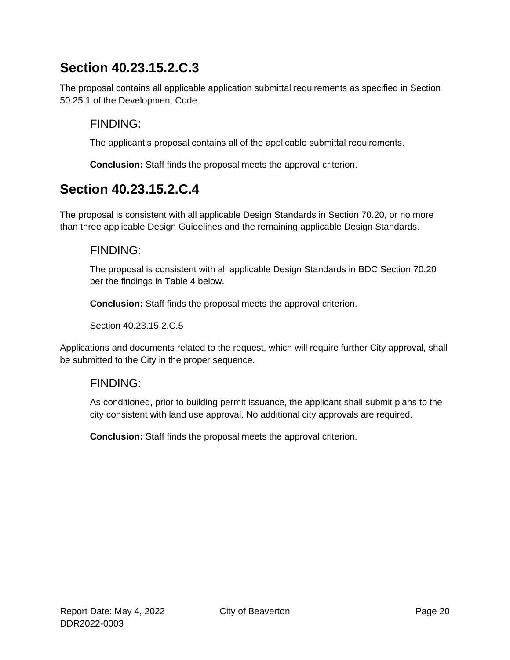## **Section 40.23.15.2.C.3**

The proposal contains all applicable application submittal requirements as specified in Section 50.25.1 of the Development Code.

#### FINDING:

The applicant's proposal contains all of the applicable submittal requirements.

**Conclusion:** Staff finds the proposal meets the approval criterion.

## **Section 40.23.15.2.C.4**

The proposal is consistent with all applicable Design Standards in Section 70.20, or no more than three applicable Design Guidelines and the remaining applicable Design Standards.

#### FINDING:

The proposal is consistent with all applicable Design Standards in BDC Section 70.20 per the findings in Table 4 below.

**Conclusion:** Staff finds the proposal meets the approval criterion.

Section 40.23.15.2.C.5

Applications and documents related to the request, which will require further City approval, shall be submitted to the City in the proper sequence.

#### FINDING:

As conditioned, prior to building permit issuance, the applicant shall submit plans to the city consistent with land use approval. No additional city approvals are required.

**Conclusion:** Staff finds the proposal meets the approval criterion.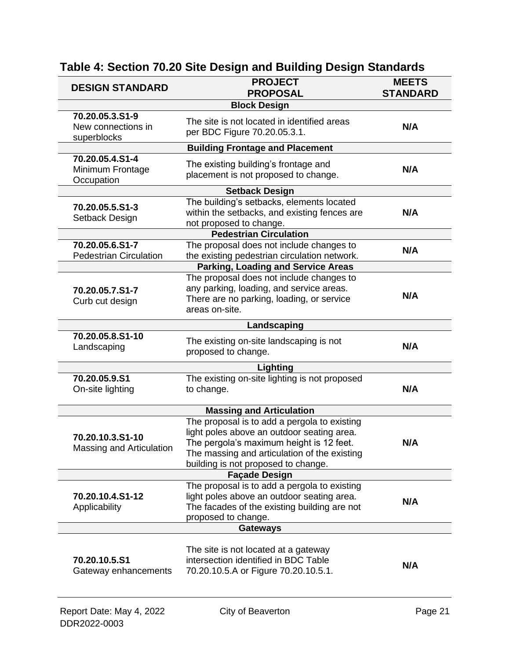| <b>DESIGN STANDARD</b>                               | <b>PROJECT</b><br><b>PROPOSAL</b>                                                                                                                                                                                             | <b>MEETS</b><br><b>STANDARD</b> |
|------------------------------------------------------|-------------------------------------------------------------------------------------------------------------------------------------------------------------------------------------------------------------------------------|---------------------------------|
|                                                      | <b>Block Design</b>                                                                                                                                                                                                           |                                 |
| 70.20.05.3.S1-9<br>New connections in<br>superblocks | The site is not located in identified areas<br>per BDC Figure 70.20.05.3.1.                                                                                                                                                   | N/A                             |
|                                                      | <b>Building Frontage and Placement</b>                                                                                                                                                                                        |                                 |
| 70.20.05.4.S1-4<br>Minimum Frontage<br>Occupation    | The existing building's frontage and<br>placement is not proposed to change.                                                                                                                                                  | N/A                             |
|                                                      | <b>Setback Design</b>                                                                                                                                                                                                         |                                 |
| 70.20.05.5.S1-3<br>Setback Design                    | The building's setbacks, elements located<br>within the setbacks, and existing fences are<br>not proposed to change.                                                                                                          | N/A                             |
|                                                      | <b>Pedestrian Circulation</b>                                                                                                                                                                                                 |                                 |
| 70.20.05.6.S1-7<br><b>Pedestrian Circulation</b>     | The proposal does not include changes to<br>the existing pedestrian circulation network.                                                                                                                                      | N/A                             |
|                                                      | <b>Parking, Loading and Service Areas</b>                                                                                                                                                                                     |                                 |
| 70.20.05.7.S1-7<br>Curb cut design                   | The proposal does not include changes to<br>any parking, loading, and service areas.<br>There are no parking, loading, or service<br>areas on-site.                                                                           | N/A                             |
|                                                      | Landscaping                                                                                                                                                                                                                   |                                 |
| 70.20.05.8.S1-10<br>Landscaping                      | The existing on-site landscaping is not<br>proposed to change.                                                                                                                                                                | N/A                             |
|                                                      | Lighting                                                                                                                                                                                                                      |                                 |
| 70.20.05.9.S1<br>On-site lighting                    | The existing on-site lighting is not proposed<br>to change.                                                                                                                                                                   | N/A                             |
|                                                      | <b>Massing and Articulation</b>                                                                                                                                                                                               |                                 |
| 70.20.10.3.S1-10<br>Massing and Articulation         | The proposal is to add a pergola to existing<br>light poles above an outdoor seating area.<br>The pergola's maximum height is 12 feet.<br>The massing and articulation of the existing<br>building is not proposed to change. | N/A                             |
|                                                      | <b>Façade Design</b>                                                                                                                                                                                                          |                                 |
| 70.20.10.4.S1-12<br>Applicability                    | The proposal is to add a pergola to existing<br>light poles above an outdoor seating area.<br>The facades of the existing building are not<br>proposed to change.                                                             | N/A                             |
|                                                      | <b>Gateways</b>                                                                                                                                                                                                               |                                 |
| 70.20.10.5.S1<br>Gateway enhancements                | The site is not located at a gateway<br>intersection identified in BDC Table<br>70.20.10.5.A or Figure 70.20.10.5.1.                                                                                                          | N/A                             |
| Report Date: May 4, 2022                             | City of Beaverton                                                                                                                                                                                                             | Page 21                         |

## **Table 4: Section 70.20 Site Design and Building Design Standards**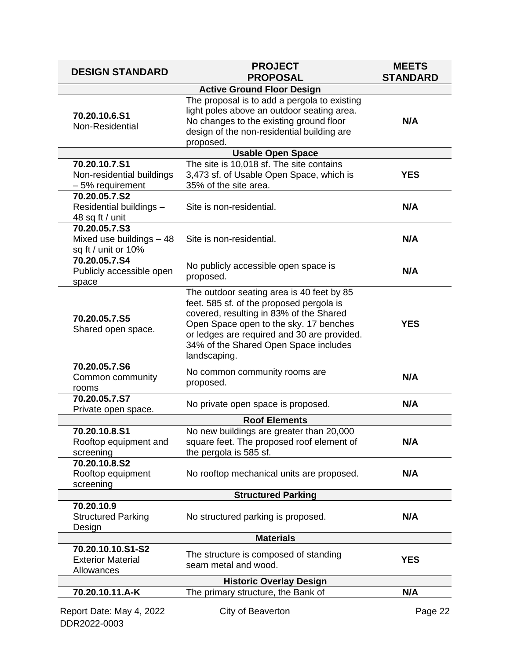| <b>DESIGN STANDARD</b>                                           | <b>PROJECT</b><br><b>PROPOSAL</b>                                                                                                                                                                                                                                                  | <b>MEETS</b><br><b>STANDARD</b> |
|------------------------------------------------------------------|------------------------------------------------------------------------------------------------------------------------------------------------------------------------------------------------------------------------------------------------------------------------------------|---------------------------------|
|                                                                  | <b>Active Ground Floor Design</b>                                                                                                                                                                                                                                                  |                                 |
| 70.20.10.6.S1<br>Non-Residential                                 | The proposal is to add a pergola to existing<br>light poles above an outdoor seating area.<br>No changes to the existing ground floor<br>design of the non-residential building are<br>proposed.                                                                                   | N/A                             |
|                                                                  | <b>Usable Open Space</b>                                                                                                                                                                                                                                                           |                                 |
| 70.20.10.7.S1<br>Non-residential buildings<br>- 5% requirement   | The site is 10,018 sf. The site contains<br>3,473 sf. of Usable Open Space, which is<br>35% of the site area.                                                                                                                                                                      | <b>YES</b>                      |
| 70.20.05.7.S2<br>Residential buildings -<br>48 sq ft / unit      | Site is non-residential.                                                                                                                                                                                                                                                           | N/A                             |
| 70.20.05.7.S3<br>Mixed use buildings - 48<br>sq ft / unit or 10% | Site is non-residential.                                                                                                                                                                                                                                                           | N/A                             |
| 70.20.05.7.S4<br>Publicly accessible open<br>space               | No publicly accessible open space is<br>proposed.                                                                                                                                                                                                                                  | N/A                             |
| 70.20.05.7.S5<br>Shared open space.                              | The outdoor seating area is 40 feet by 85<br>feet. 585 sf. of the proposed pergola is<br>covered, resulting in 83% of the Shared<br>Open Space open to the sky. 17 benches<br>or ledges are required and 30 are provided.<br>34% of the Shared Open Space includes<br>landscaping. | <b>YES</b>                      |
| 70.20.05.7.S6<br>Common community<br>rooms                       | No common community rooms are<br>proposed.                                                                                                                                                                                                                                         | N/A                             |
| 70.20.05.7.S7<br>Private open space.                             | No private open space is proposed.                                                                                                                                                                                                                                                 | N/A                             |
|                                                                  | <b>Roof Elements</b>                                                                                                                                                                                                                                                               |                                 |
| 70.20.10.8.S1<br>Rooftop equipment and<br>screening              | No new buildings are greater than 20,000<br>square feet. The proposed roof element of<br>the pergola is 585 sf.                                                                                                                                                                    | N/A                             |
| 70.20.10.8.S2<br>Rooftop equipment<br>screening                  | No rooftop mechanical units are proposed.                                                                                                                                                                                                                                          | N/A                             |
|                                                                  | <b>Structured Parking</b>                                                                                                                                                                                                                                                          |                                 |
| 70.20.10.9<br><b>Structured Parking</b><br>Design                | No structured parking is proposed.                                                                                                                                                                                                                                                 | N/A                             |
|                                                                  | <b>Materials</b>                                                                                                                                                                                                                                                                   |                                 |
| 70.20.10.10.S1-S2<br><b>Exterior Material</b><br>Allowances      | The structure is composed of standing<br>seam metal and wood.                                                                                                                                                                                                                      | <b>YES</b>                      |
|                                                                  | <b>Historic Overlay Design</b>                                                                                                                                                                                                                                                     |                                 |
| 70.20.10.11.A-K                                                  | The primary structure, the Bank of                                                                                                                                                                                                                                                 | N/A                             |
| Report Date: May 4, 2022<br>DDR2022-0003                         | City of Beaverton                                                                                                                                                                                                                                                                  | Page 22                         |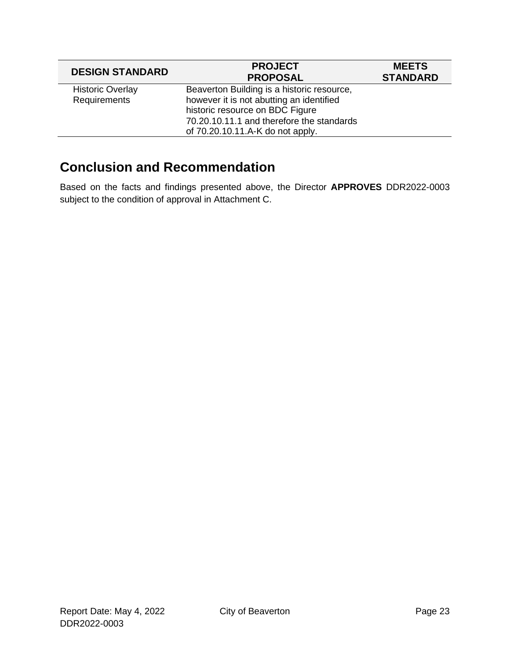| <b>DESIGN STANDARD</b>  | <b>PROJECT</b><br><b>PROPOSAL</b>          | <b>MEETS</b><br><b>STANDARD</b> |
|-------------------------|--------------------------------------------|---------------------------------|
| <b>Historic Overlay</b> | Beaverton Building is a historic resource, |                                 |
| Requirements            | however it is not abutting an identified   |                                 |
|                         | historic resource on BDC Figure            |                                 |
|                         | 70.20.10.11.1 and therefore the standards  |                                 |
|                         | of 70.20.10.11.A-K do not apply.           |                                 |

## **Conclusion and Recommendation**

Based on the facts and findings presented above, the Director **APPROVES** DDR2022-0003 subject to the condition of approval in Attachment C.